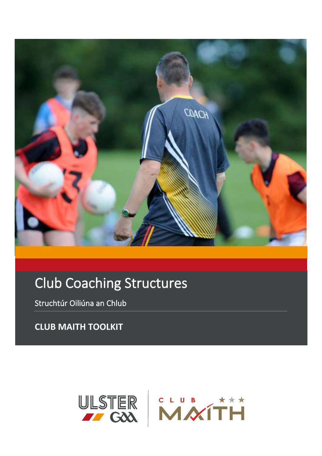

# **Club Coaching Structures**

Struchtúr Oiliúna an Chlub

**CLUB MAITH TOOLKIT** 

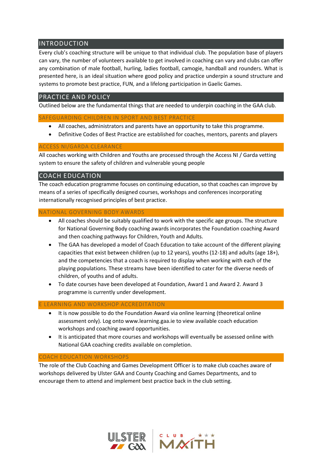# INTRODUCTION

Every club's coaching structure will be unique to that individual club. The population base of players can vary, the number of volunteers available to get involved in coaching can vary and clubs can offer any combination of male football, hurling, ladies football, camogie, handball and rounders. What is presented here, is an ideal situation where good policy and practice underpin a sound structure and systems to promote best practice, FUN, and a lifelong participation in Gaelic Games.

# PRACTICE AND POLICY

Outlined below are the fundamental things that are needed to underpin coaching in the GAA club.

### SAFEGUARDING CHILDREN IN SPORT AND BEST PRACTICE

- All coaches, administrators and parents have an opportunity to take this programme.
- Definitive Codes of Best Practice are established for coaches, mentors, parents and players

### ACCESS NI/GARDA CLEARANCE

All coaches working with Children and Youths are processed through the Access NI / Garda vetting system to ensure the safety of children and vulnerable young people

# COACH EDUCATION

The coach education programme focuses on continuing education, so that coaches can improve by means of a series of specifically designed courses, workshops and conferences incorporating internationally recognised principles of best practice.

### NATIONAL GOVERNING BODY AWARDS

- All coaches should be suitably qualified to work with the specific age groups. The structure for National Governing Body coaching awards incorporates the Foundation coaching Award and then coaching pathways for Children, Youth and Adults.
- The GAA has developed a model of Coach Education to take account of the different playing capacities that exist between children (up to 12 years), youths (12-18) and adults (age 18+), and the competencies that a coach is required to display when working with each of the playing populations. These streams have been identified to cater for the diverse needs of children, of youths and of adults.
- To date courses have been developed at Foundation, Award 1 and Award 2. Award 3 programme is currently under development.

#### LEARNING AND WORKSHOP ACCREDITATION

- It is now possible to do the Foundation Award via online learning (theoretical online assessment only). Log onto www.learning.gaa.ie to view available coach education workshops and coaching award opportunities.
- It is anticipated that more courses and workshops will eventually be assessed online with National GAA coaching credits available on completion.

## COACH EDUCATION WORKSHOPS

The role of the Club Coaching and Games Development Officer is to make club coaches aware of workshops delivered by Ulster GAA and County Coaching and Games Departments, and to encourage them to attend and implement best practice back in the club setting.



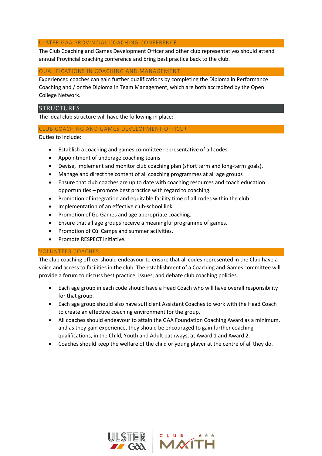### ULSTER GAA PROVINCIAL COACHING CONFERENCE

The Club Coaching and Games Development Officer and other club representatives should attend annual Provincial coaching conference and bring best practice back to the club.

### QUALIFICATIONS IN COACHING AND MANAGEMENT

Experienced coaches can gain further qualifications by completing the Diploma in Performance Coaching and / or the Diploma in Team Management, which are both accredited by the Open College Network.

# STRUCTURES

The ideal club structure will have the following in place:

### CLUB COACHING AND GAMES DEVELOPMENT OFFICER

Duties to include:

- Establish a coaching and games committee representative of all codes.
- Appointment of underage coaching teams
- Devise, Implement and monitor club coaching plan (short term and long-term goals).
- Manage and direct the content of all coaching programmes at all age groups
- Ensure that club coaches are up to date with coaching resources and coach education opportunities – promote best practice with regard to coaching.
- Promotion of integration and equitable facility time of all codes within the club.
- Implementation of an effective club-school link.
- Promotion of Go Games and age appropriate coaching.
- Ensure that all age groups receive a meaningful programme of games.
- Promotion of Cúl Camps and summer activities.
- Promote RESPECT initiative.

#### VOLUNTEER COACHES

The club coaching officer should endeavour to ensure that all codes represented in the Club have a voice and access to facilities in the club. The establishment of a Coaching and Games committee will provide a forum to discuss best practice, issues, and debate club coaching policies.

- Each age group in each code should have a Head Coach who will have overall responsibility for that group.
- Each age group should also have sufficient Assistant Coaches to work with the Head Coach to create an effective coaching environment for the group.
- All coaches should endeavour to attain the GAA Foundation Coaching Award as a minimum, and as they gain experience, they should be encouraged to gain further coaching qualifications, in the Child, Youth and Adult pathways, at Award 1 and Award 2.
- Coaches should keep the welfare of the child or young player at the centre of all they do.